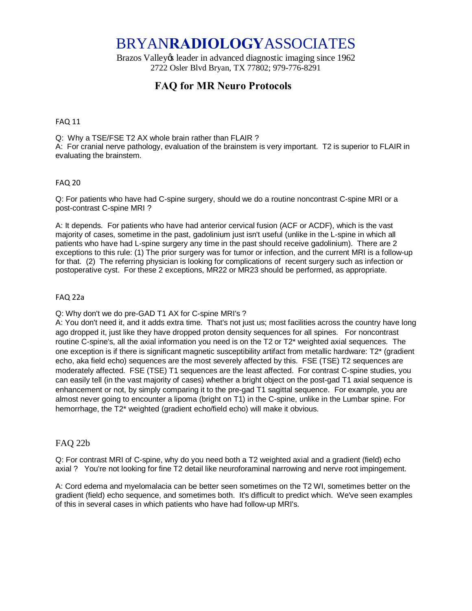# BRYAN**RADIOLOGY**ASSOCIATES

Brazos Valley & leader in advanced diagnostic imaging since 1962 2722 Osler Blvd Bryan, TX 77802; 979-776-8291

# **FAQ for MR Neuro Protocols**

#### FAQ 11

Q: Why a TSE/FSE T2 AX whole brain rather than FLAIR ? A: For cranial nerve pathology, evaluation of the brainstem is very important. T2 is superior to FLAIR in evaluating the brainstem.

#### FAQ 20

Q: For patients who have had C-spine surgery, should we do a routine noncontrast C-spine MRI or a post-contrast C-spine MRI ?

A: It depends. For patients who have had anterior cervical fusion (ACF or ACDF), which is the vast majority of cases, sometime in the past, gadolinium just isn't useful (unlike in the L-spine in which all patients who have had L-spine surgery any time in the past should receive gadolinium). There are 2 exceptions to this rule: (1) The prior surgery was for tumor or infection, and the current MRI is a follow-up for that. (2) The referring physician is looking for complications of recent surgery such as infection or postoperative cyst. For these 2 exceptions, MR22 or MR23 should be performed, as appropriate.

#### FAQ 22a

Q: Why don't we do pre-GAD T1 AX for C-spine MRI's ?

A: You don't need it, and it adds extra time. That's not just us; most facilities across the country have long ago dropped it, just like they have dropped proton density sequences for all spines. For noncontrast routine C-spine's, all the axial information you need is on the T2 or T2\* weighted axial sequences. The one exception is if there is significant magnetic susceptibility artifact from metallic hardware: T2\* (gradient echo, aka field echo) sequences are the most severely affected by this. FSE (TSE) T2 sequences are moderately affected. FSE (TSE) T1 sequences are the least affected. For contrast C-spine studies, you can easily tell (in the vast majority of cases) whether a bright object on the post-gad T1 axial sequence is enhancement or not, by simply comparing it to the pre-gad T1 sagittal sequence. For example, you are almost never going to encounter a lipoma (bright on T1) in the C-spine, unlike in the Lumbar spine. For hemorrhage, the T2\* weighted (gradient echo/field echo) will make it obvious.

#### FAQ 22b

Q: For contrast MRI of C-spine, why do you need both a T2 weighted axial and a gradient (field) echo axial ? You're not looking for fine T2 detail like neuroforaminal narrowing and nerve root impingement.

A: Cord edema and myelomalacia can be better seen sometimes on the T2 WI, sometimes better on the gradient (field) echo sequence, and sometimes both. It's difficult to predict which. We've seen examples of this in several cases in which patients who have had follow-up MRI's.